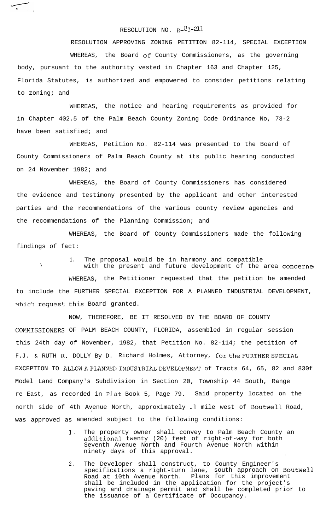## RESOLUTION NO.  $R-\frac{83-211}{6}$

RESOLUTION APPROVING ZONING PETITION 82-114, SPECIAL EXCEPTION WHEREAS, the Board of County Commissioners, as the governing body, pursuant to the authority vested in Chapter 163 and Chapter 125, Florida Statutes, is authorized and empowered to consider petitions relating to zoning; and

WHEREAS, the notice and hearing requirements as provided for in Chapter 402.5 of the Palm Beach County Zoning Code Ordinance No, 73-2 have been satisfied; and

WHEREAS, Petition No. 82-114 was presented to the Board of County Commissioners of Palm Beach County at its public hearing conducted on 24 November 1982; and

WHEREAS, the Board of County Commissioners has considered the evidence and testimony presented by the applicant and other interested parties and the recommendations of the various county review agencies and the recommendations of the Planning Commission; and

WHEREAS, the Board of County Commissioners made the following findings of fact:

1. The proposal would be in harmony and compatible

'\

 $\overline{a}$ 

with the present and future development of the area concerned WHEREAS, the Petitioner requested that the petition be amended to include the FURTHER SPECIAL EXCEPTION FOR A PLANNED INDUSTRIAL DEVELOPMENT, which request this Board granted.

NOW, THEREFORE, BE IT RESOLVED BY THE BOARD OF COUNTY .COMMISSIONERS OF PALM BEACH COUNTY, FLORIDA, assembled in regular session this 24th day of November, 1982, that Petition No. 82-114; the petition of F.J. & RUTH R. DOLLY By D. Richard Holmes, Attorney, for the FURTHER SPECIAL EXCEPTION TO ALLOW A PLANNED INDUSTRIAL DEVELOPMENT of Tracts 64, 65, 82 and 830f Model Land Company's Subdivision in Section 20, Township 44 South, Range re East, as recorded in Plat Book 5, Page 79. Said property located on the north side of 4th Avenue North, approximately .l mile west of Boutwell Road, i. was approved as amended subject to the following conditions:

- 1. . The property owner shall convey to Palm Beach County an additional twenty (20) feet of right-of-way for both Seventh Avenue North and Fourth Avenue North within ninety days of this approval.
- 2. The Developer shall construct, to County Engineer's specifications a right-turn lane, south approach on Boutwell Road at 10th Avenue North. Plans for this improvement shall be included in the application for the project's paving and drainage permit and shall be completed prior to the issuance of a Certificate of Occupancy.